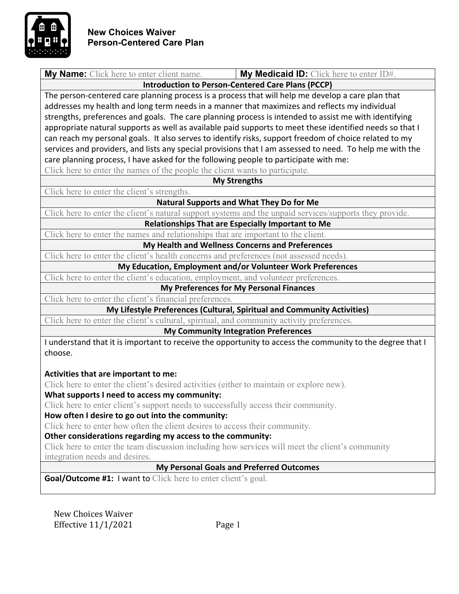

| <b>My Name:</b> Click here to enter client name.                                                         | My Medicaid ID: Click here to enter ID#. |  |
|----------------------------------------------------------------------------------------------------------|------------------------------------------|--|
| <b>Introduction to Person-Centered Care Plans (PCCP)</b>                                                 |                                          |  |
| The person-centered care planning process is a process that will help me develop a care plan that        |                                          |  |
| addresses my health and long term needs in a manner that maximizes and reflects my individual            |                                          |  |
| strengths, preferences and goals. The care planning process is intended to assist me with identifying    |                                          |  |
| appropriate natural supports as well as available paid supports to meet these identified needs so that I |                                          |  |
| can reach my personal goals. It also serves to identify risks, support freedom of choice related to my   |                                          |  |
| services and providers, and lists any special provisions that I am assessed to need. To help me with the |                                          |  |
| care planning process, I have asked for the following people to participate with me:                     |                                          |  |
| Click here to enter the names of the people the client wants to participate.                             |                                          |  |
| <b>My Strengths</b>                                                                                      |                                          |  |
| Click here to enter the client's strengths.                                                              |                                          |  |
| <b>Natural Supports and What They Do for Me</b>                                                          |                                          |  |
| Click here to enter the client's natural support systems and the unpaid services/supports they provide.  |                                          |  |

**Relationships That are Especially Important to Me** 

Click here to enter the names and relationships that are important to the client.

**My Health and Wellness Concerns and Preferences**

Click here to enter the client's health concerns and preferences (not assessed needs).

**My Education, Employment and/or Volunteer Work Preferences**

Click here to enter the client's education, employment, and volunteer preferences.

#### **My Preferences for My Personal Finances**

Click here to enter the client's financial preferences.

**My Lifestyle Preferences (Cultural, Spiritual and Community Activities)** 

Click here to enter the client's cultural, spiritual, and community activity preferences.

**My Community Integration Preferences**

I understand that it is important to receive the opportunity to access the community to the degree that I choose.

# **Activities that are important to me:**

Click here to enter the client's desired activities (either to maintain or explore new).

# **What supports I need to access my community:**

Click here to enter client's support needs to successfully access their community.

#### **How often I desire to go out into the community:**

Click here to enter how often the client desires to access their community.

# **Other considerations regarding my access to the community:**

Click here to enter the team discussion including how services will meet the client's community integration needs and desires.

# **My Personal Goals and Preferred Outcomes**

**Goal/Outcome #1: I want to Click here to enter client's goal.**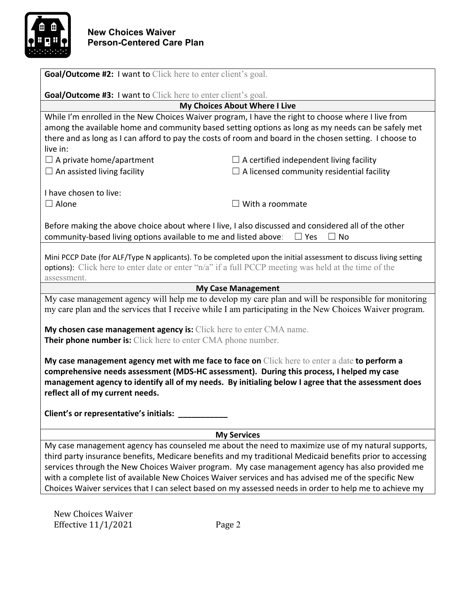

| <b>Goal/Outcome #2: I want to Click here to enter client's goal.</b>                                                                                                                                                                                                                                                                                                                                                                                                                                                                |                                                                                                                                |  |
|-------------------------------------------------------------------------------------------------------------------------------------------------------------------------------------------------------------------------------------------------------------------------------------------------------------------------------------------------------------------------------------------------------------------------------------------------------------------------------------------------------------------------------------|--------------------------------------------------------------------------------------------------------------------------------|--|
| <b>Goal/Outcome #3: I want to Click here to enter client's goal.</b>                                                                                                                                                                                                                                                                                                                                                                                                                                                                |                                                                                                                                |  |
|                                                                                                                                                                                                                                                                                                                                                                                                                                                                                                                                     | <b>My Choices About Where I Live</b>                                                                                           |  |
|                                                                                                                                                                                                                                                                                                                                                                                                                                                                                                                                     | While I'm enrolled in the New Choices Waiver program, I have the right to choose where I live from                             |  |
|                                                                                                                                                                                                                                                                                                                                                                                                                                                                                                                                     | among the available home and community based setting options as long as my needs can be safely met                             |  |
|                                                                                                                                                                                                                                                                                                                                                                                                                                                                                                                                     | there and as long as I can afford to pay the costs of room and board in the chosen setting. I choose to                        |  |
| live in:                                                                                                                                                                                                                                                                                                                                                                                                                                                                                                                            |                                                                                                                                |  |
| $\Box$ A private home/apartment                                                                                                                                                                                                                                                                                                                                                                                                                                                                                                     | $\Box$ A certified independent living facility                                                                                 |  |
| $\Box$ An assisted living facility                                                                                                                                                                                                                                                                                                                                                                                                                                                                                                  | $\Box$ A licensed community residential facility                                                                               |  |
| I have chosen to live:                                                                                                                                                                                                                                                                                                                                                                                                                                                                                                              |                                                                                                                                |  |
| $\Box$ Alone                                                                                                                                                                                                                                                                                                                                                                                                                                                                                                                        | $\Box$ With a roommate                                                                                                         |  |
|                                                                                                                                                                                                                                                                                                                                                                                                                                                                                                                                     |                                                                                                                                |  |
| community-based living options available to me and listed above:                                                                                                                                                                                                                                                                                                                                                                                                                                                                    | Before making the above choice about where I live, I also discussed and considered all of the other<br>$\Box$ Yes<br>$\Box$ No |  |
| Mini PCCP Date (for ALF/Type N applicants). To be completed upon the initial assessment to discuss living setting<br><b>options):</b> Click here to enter date or enter "n/a" if a full PCCP meeting was held at the time of the<br>assessment.                                                                                                                                                                                                                                                                                     |                                                                                                                                |  |
|                                                                                                                                                                                                                                                                                                                                                                                                                                                                                                                                     | <b>My Case Management</b>                                                                                                      |  |
| My case management agency will help me to develop my care plan and will be responsible for monitoring<br>my care plan and the services that I receive while I am participating in the New Choices Waiver program.                                                                                                                                                                                                                                                                                                                   |                                                                                                                                |  |
| My chosen case management agency is: Click here to enter CMA name.                                                                                                                                                                                                                                                                                                                                                                                                                                                                  |                                                                                                                                |  |
| Their phone number is: Click here to enter CMA phone number.                                                                                                                                                                                                                                                                                                                                                                                                                                                                        |                                                                                                                                |  |
| My case management agency met with me face to face on Click here to enter a date to perform a<br>comprehensive needs assessment (MDS-HC assessment). During this process, I helped my case<br>management agency to identify all of my needs. By initialing below I agree that the assessment does<br>reflect all of my current needs.                                                                                                                                                                                               |                                                                                                                                |  |
| Client's or representative's initials:                                                                                                                                                                                                                                                                                                                                                                                                                                                                                              |                                                                                                                                |  |
| <b>My Services</b>                                                                                                                                                                                                                                                                                                                                                                                                                                                                                                                  |                                                                                                                                |  |
| My case management agency has counseled me about the need to maximize use of my natural supports,<br>third party insurance benefits, Medicare benefits and my traditional Medicaid benefits prior to accessing<br>services through the New Choices Waiver program. My case management agency has also provided me<br>with a complete list of available New Choices Waiver services and has advised me of the specific New<br>Choices Waiver services that I can select based on my assessed needs in order to help me to achieve my |                                                                                                                                |  |
|                                                                                                                                                                                                                                                                                                                                                                                                                                                                                                                                     |                                                                                                                                |  |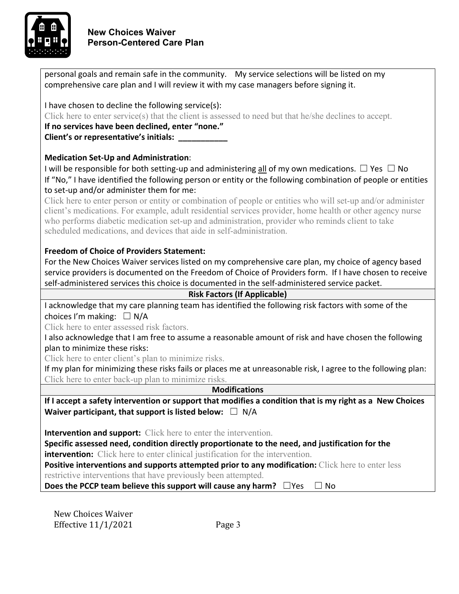

# **New Choices Waiver Person-Centered Care Plan**

| personal goals and remain safe in the community. My service selections will be listed on my                                                                                                                  |  |  |
|--------------------------------------------------------------------------------------------------------------------------------------------------------------------------------------------------------------|--|--|
| comprehensive care plan and I will review it with my case managers before signing it.                                                                                                                        |  |  |
|                                                                                                                                                                                                              |  |  |
| I have chosen to decline the following service(s):                                                                                                                                                           |  |  |
| Click here to enter service(s) that the client is assessed to need but that he/she declines to accept.                                                                                                       |  |  |
| If no services have been declined, enter "none."                                                                                                                                                             |  |  |
| Client's or representative's initials: __________                                                                                                                                                            |  |  |
|                                                                                                                                                                                                              |  |  |
| <b>Medication Set-Up and Administration:</b>                                                                                                                                                                 |  |  |
| I will be responsible for both setting-up and administering $\underline{\text{all}}$ of my own medications. $\square$ Yes $\square$ No                                                                       |  |  |
| If "No," I have identified the following person or entity or the following combination of people or entities                                                                                                 |  |  |
| to set-up and/or administer them for me:                                                                                                                                                                     |  |  |
| Click here to enter person or entity or combination of people or entities who will set-up and/or administer                                                                                                  |  |  |
| client's medications. For example, adult residential services provider, home health or other agency nurse<br>who performs diabetic medication set-up and administration, provider who reminds client to take |  |  |
| scheduled medications, and devices that aide in self-administration.                                                                                                                                         |  |  |
|                                                                                                                                                                                                              |  |  |
| <b>Freedom of Choice of Providers Statement:</b>                                                                                                                                                             |  |  |
| For the New Choices Waiver services listed on my comprehensive care plan, my choice of agency based                                                                                                          |  |  |
| service providers is documented on the Freedom of Choice of Providers form. If I have chosen to receive                                                                                                      |  |  |
| self-administered services this choice is documented in the self-administered service packet.                                                                                                                |  |  |
| <b>Risk Factors (If Applicable)</b>                                                                                                                                                                          |  |  |
| I acknowledge that my care planning team has identified the following risk factors with some of the                                                                                                          |  |  |
| choices I'm making: $\Box$ N/A                                                                                                                                                                               |  |  |
| Click here to enter assessed risk factors.                                                                                                                                                                   |  |  |
| I also acknowledge that I am free to assume a reasonable amount of risk and have chosen the following                                                                                                        |  |  |
| plan to minimize these risks:                                                                                                                                                                                |  |  |
| Click here to enter client's plan to minimize risks.                                                                                                                                                         |  |  |
| If my plan for minimizing these risks fails or places me at unreasonable risk, I agree to the following plan:                                                                                                |  |  |
| Click here to enter back-up plan to minimize risks.                                                                                                                                                          |  |  |
| <b>Modifications</b>                                                                                                                                                                                         |  |  |
| If I accept a safety intervention or support that modifies a condition that is my right as a New Choices                                                                                                     |  |  |
| Waiver participant, that support is listed below: $\Box$ N/A                                                                                                                                                 |  |  |
|                                                                                                                                                                                                              |  |  |
| <b>Intervention and support:</b> Click here to enter the intervention.                                                                                                                                       |  |  |
| Specific assessed need, condition directly proportionate to the need, and justification for the                                                                                                              |  |  |
| <b>intervention:</b> Click here to enter clinical justification for the intervention.                                                                                                                        |  |  |
| Positive interventions and supports attempted prior to any modification: Click here to enter less<br>restrictive interventions that have previously been attempted.                                          |  |  |
| Does the PCCP team believe this support will cause any harm? $\Box$ Yes<br>$\Box$ No                                                                                                                         |  |  |
|                                                                                                                                                                                                              |  |  |
|                                                                                                                                                                                                              |  |  |
| New Choices Waiver                                                                                                                                                                                           |  |  |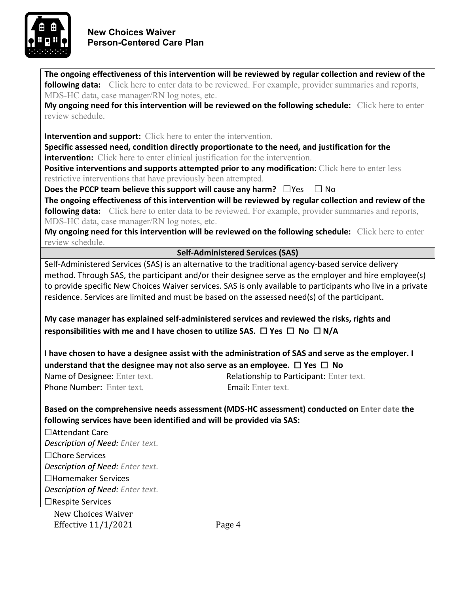

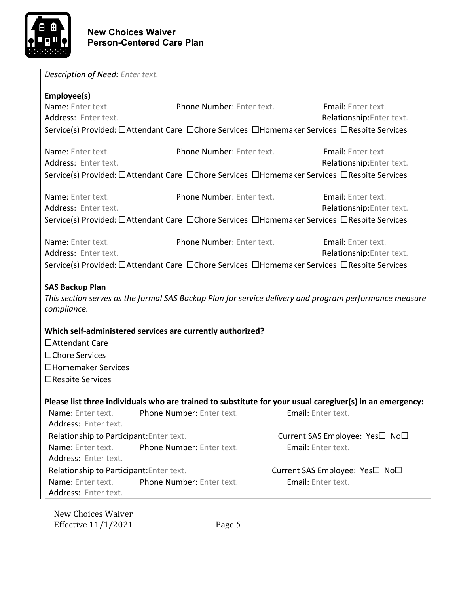

| Description of Need: Enter text.                                           |                                                            |                                                                                                                                |  |  |
|----------------------------------------------------------------------------|------------------------------------------------------------|--------------------------------------------------------------------------------------------------------------------------------|--|--|
| Employee(s)                                                                |                                                            |                                                                                                                                |  |  |
| Name: Enter text.                                                          | <b>Phone Number: Enter text.</b>                           | <b>Email:</b> Enter text.                                                                                                      |  |  |
| Address: Enter text.                                                       |                                                            | Relationship: Enter text.                                                                                                      |  |  |
|                                                                            |                                                            | Service(s) Provided: □Attendant Care □Chore Services □Homemaker Services □Respite Services                                     |  |  |
| Name: Enter text.                                                          | <b>Phone Number: Enter text.</b>                           | Email: Enter text.                                                                                                             |  |  |
| Address: Enter text.                                                       |                                                            | Relationship: Enter text.                                                                                                      |  |  |
|                                                                            |                                                            | Service(s) Provided: □Attendant Care □Chore Services □Homemaker Services □Respite Services                                     |  |  |
|                                                                            |                                                            |                                                                                                                                |  |  |
| Name: Enter text.                                                          | Phone Number: Enter text.                                  | Email: Enter text.                                                                                                             |  |  |
| Address: Enter text.                                                       |                                                            | Relationship: Enter text.                                                                                                      |  |  |
|                                                                            |                                                            | Service(s) Provided: □Attendant Care □Chore Services □Homemaker Services □Respite Services                                     |  |  |
| Name: Enter text.                                                          | Phone Number: Enter text.                                  | Email: Enter text.                                                                                                             |  |  |
| Address: Enter text.                                                       |                                                            | Relationship: Enter text.                                                                                                      |  |  |
|                                                                            |                                                            | Service(s) Provided: □Attendant Care □Chore Services □Homemaker Services □Respite Services                                     |  |  |
|                                                                            |                                                            |                                                                                                                                |  |  |
| <b>SAS Backup Plan</b>                                                     |                                                            |                                                                                                                                |  |  |
|                                                                            |                                                            | This section serves as the formal SAS Backup Plan for service delivery and program performance measure                         |  |  |
| compliance.                                                                |                                                            |                                                                                                                                |  |  |
|                                                                            |                                                            |                                                                                                                                |  |  |
|                                                                            | Which self-administered services are currently authorized? |                                                                                                                                |  |  |
| □Attendant Care                                                            |                                                            |                                                                                                                                |  |  |
| □Chore Services                                                            |                                                            |                                                                                                                                |  |  |
| □Homemaker Services                                                        |                                                            |                                                                                                                                |  |  |
| □Respite Services                                                          |                                                            |                                                                                                                                |  |  |
|                                                                            |                                                            |                                                                                                                                |  |  |
| <b>Name:</b> Enter text.                                                   | <b>Phone Number: Enter text.</b>                           | Please list three individuals who are trained to substitute for your usual caregiver(s) in an emergency:<br>Email: Enter text. |  |  |
| Address: Enter text.                                                       |                                                            |                                                                                                                                |  |  |
| Relationship to Participant: Enter text.                                   |                                                            | Current SAS Employee: Yes□ No□                                                                                                 |  |  |
| Name: Enter text.                                                          | Phone Number: Enter text.                                  | Email: Enter text.                                                                                                             |  |  |
| Address: Enter text.                                                       |                                                            |                                                                                                                                |  |  |
| Relationship to Participant: Enter text.<br>Current SAS Employee: Yes□ No□ |                                                            |                                                                                                                                |  |  |
| Name: Enter text.                                                          | Phone Number: Enter text.                                  | Email: Enter text.                                                                                                             |  |  |
| Address: Enter text.                                                       |                                                            |                                                                                                                                |  |  |
|                                                                            |                                                            |                                                                                                                                |  |  |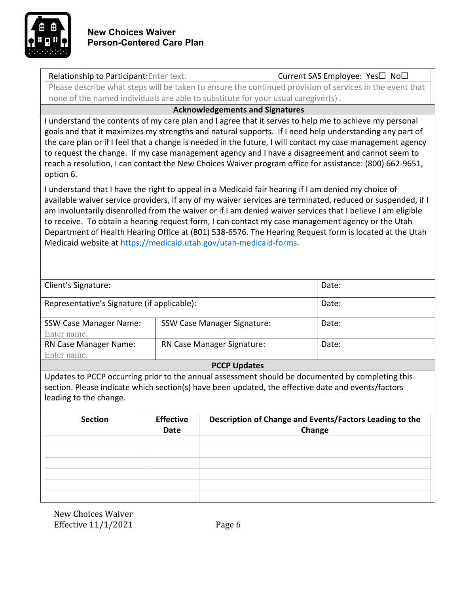

| Relationship to Participant: Enter text.                                                                                                                                                                                                                                                                                                                                                                                                                                                                                                                                                                               |                                                                                                          |                                        | Current SAS Employee: Yes□ No□                                    |  |
|------------------------------------------------------------------------------------------------------------------------------------------------------------------------------------------------------------------------------------------------------------------------------------------------------------------------------------------------------------------------------------------------------------------------------------------------------------------------------------------------------------------------------------------------------------------------------------------------------------------------|----------------------------------------------------------------------------------------------------------|----------------------------------------|-------------------------------------------------------------------|--|
|                                                                                                                                                                                                                                                                                                                                                                                                                                                                                                                                                                                                                        | Please describe what steps will be taken to ensure the continued provision of services in the event that |                                        |                                                                   |  |
|                                                                                                                                                                                                                                                                                                                                                                                                                                                                                                                                                                                                                        | none of the named individuals are able to substitute for your usual caregiver(s).                        |                                        |                                                                   |  |
|                                                                                                                                                                                                                                                                                                                                                                                                                                                                                                                                                                                                                        |                                                                                                          | <b>Acknowledgements and Signatures</b> |                                                                   |  |
| I understand the contents of my care plan and I agree that it serves to help me to achieve my personal<br>goals and that it maximizes my strengths and natural supports. If I need help understanding any part of<br>the care plan or if I feel that a change is needed in the future, I will contact my case management agency<br>to request the change. If my case management agency and I have a disagreement and cannot seem to<br>reach a resolution, I can contact the New Choices Waiver program office for assistance: (800) 662-9651,<br>option 6.                                                            |                                                                                                          |                                        |                                                                   |  |
| I understand that I have the right to appeal in a Medicaid fair hearing if I am denied my choice of<br>available waiver service providers, if any of my waiver services are terminated, reduced or suspended, if I<br>am involuntarily disenrolled from the waiver or if I am denied waiver services that I believe I am eligible<br>to receive. To obtain a hearing request form, I can contact my case management agency or the Utah<br>Department of Health Hearing Office at (801) 538-6576. The Hearing Request form is located at the Utah<br>Medicaid website at https://medicaid.utah.gov/utah-medicaid-forms. |                                                                                                          |                                        |                                                                   |  |
| Client's Signature:                                                                                                                                                                                                                                                                                                                                                                                                                                                                                                                                                                                                    |                                                                                                          |                                        | Date:                                                             |  |
| Representative's Signature (if applicable):                                                                                                                                                                                                                                                                                                                                                                                                                                                                                                                                                                            |                                                                                                          |                                        | Date:                                                             |  |
| <b>SSW Case Manager Name:</b><br>Enter name.                                                                                                                                                                                                                                                                                                                                                                                                                                                                                                                                                                           |                                                                                                          | <b>SSW Case Manager Signature:</b>     | Date:                                                             |  |
| RN Case Manager Name:<br>Enter name.                                                                                                                                                                                                                                                                                                                                                                                                                                                                                                                                                                                   |                                                                                                          | RN Case Manager Signature:             | Date:                                                             |  |
| <b>PCCP Updates</b>                                                                                                                                                                                                                                                                                                                                                                                                                                                                                                                                                                                                    |                                                                                                          |                                        |                                                                   |  |
| Updates to PCCP occurring prior to the annual assessment should be documented by completing this<br>section. Please indicate which section(s) have been updated, the effective date and events/factors<br>leading to the change.                                                                                                                                                                                                                                                                                                                                                                                       |                                                                                                          |                                        |                                                                   |  |
| <b>Section</b>                                                                                                                                                                                                                                                                                                                                                                                                                                                                                                                                                                                                         | <b>Effective</b><br>Date                                                                                 |                                        | Description of Change and Events/Factors Leading to the<br>Change |  |